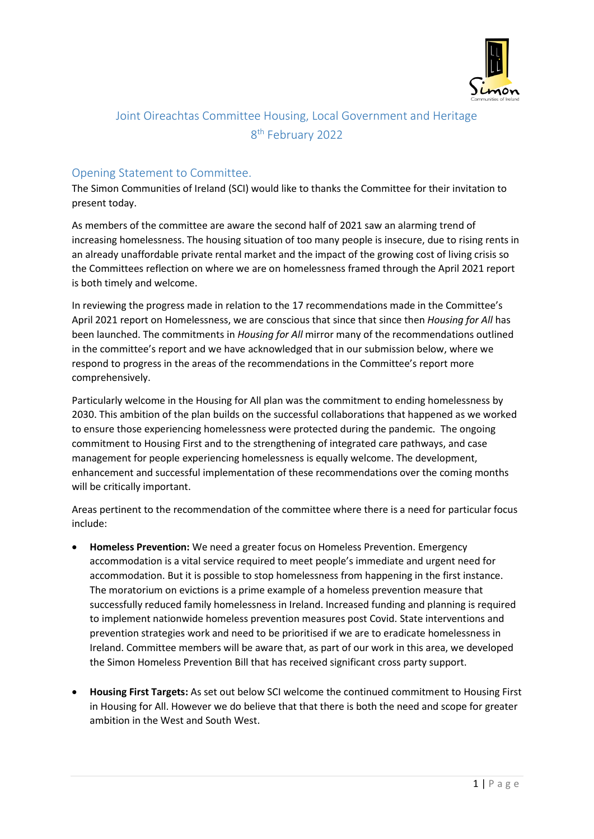

# Joint Oireachtas Committee Housing, Local Government and Heritage 8 th February 2022

# Opening Statement to Committee.

The Simon Communities of Ireland (SCI) would like to thanks the Committee for their invitation to present today.

As members of the committee are aware the second half of 2021 saw an alarming trend of increasing homelessness. The housing situation of too many people is insecure, due to rising rents in an already unaffordable private rental market and the impact of the growing cost of living crisis so the Committees reflection on where we are on homelessness framed through the April 2021 report is both timely and welcome.

In reviewing the progress made in relation to the 17 recommendations made in the Committee's April 2021 report on Homelessness, we are conscious that since that since then *Housing for All* has been launched. The commitments in *Housing for All* mirror many of the recommendations outlined in the committee's report and we have acknowledged that in our submission below, where we respond to progress in the areas of the recommendations in the Committee's report more comprehensively.

Particularly welcome in the Housing for All plan was the commitment to ending homelessness by 2030. This ambition of the plan builds on the successful collaborations that happened as we worked to ensure those experiencing homelessness were protected during the pandemic. The ongoing commitment to Housing First and to the strengthening of integrated care pathways, and case management for people experiencing homelessness is equally welcome. The development, enhancement and successful implementation of these recommendations over the coming months will be critically important.

Areas pertinent to the recommendation of the committee where there is a need for particular focus include:

- **Homeless Prevention:** We need a greater focus on Homeless Prevention. Emergency accommodation is a vital service required to meet people's immediate and urgent need for accommodation. But it is possible to stop homelessness from happening in the first instance. The moratorium on evictions is a prime example of a homeless prevention measure that successfully reduced family homelessness in Ireland. Increased funding and planning is required to implement nationwide homeless prevention measures post Covid. State interventions and prevention strategies work and need to be prioritised if we are to eradicate homelessness in Ireland. Committee members will be aware that, as part of our work in this area, we developed the Simon Homeless Prevention Bill that has received significant cross party support.
- **Housing First Targets:** As set out below SCI welcome the continued commitment to Housing First in Housing for All. However we do believe that that there is both the need and scope for greater ambition in the West and South West.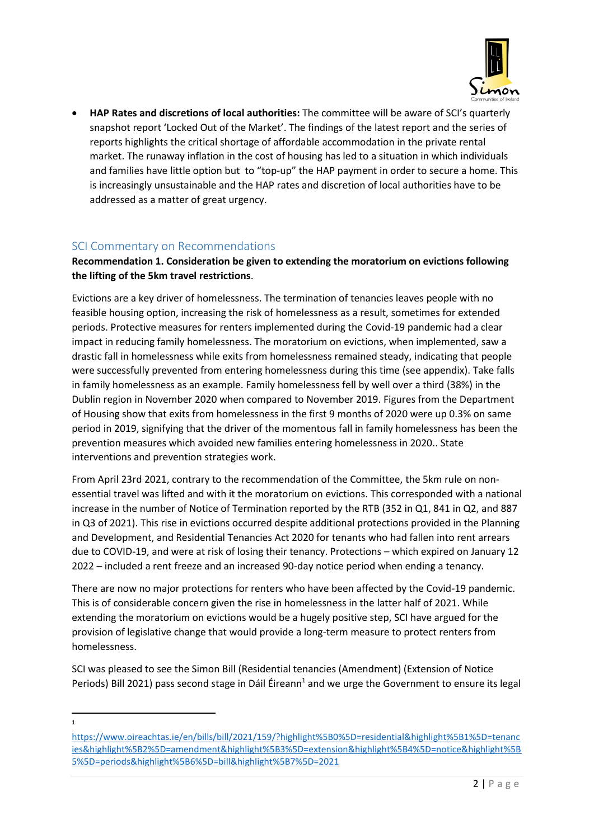

 **HAP Rates and discretions of local authorities:** The committee will be aware of SCI's quarterly snapshot report 'Locked Out of the Market'. The findings of the latest report and the series of reports highlights the critical shortage of affordable accommodation in the private rental market. The runaway inflation in the cost of housing has led to a situation in which individuals and families have little option but to "top-up" the HAP payment in order to secure a home. This is increasingly unsustainable and the HAP rates and discretion of local authorities have to be addressed as a matter of great urgency.

## SCI Commentary on Recommendations

#### **Recommendation 1. Consideration be given to extending the moratorium on evictions following the lifting of the 5km travel restrictions**.

Evictions are a key driver of homelessness. The termination of tenancies leaves people with no feasible housing option, increasing the risk of homelessness as a result, sometimes for extended periods. Protective measures for renters implemented during the Covid-19 pandemic had a clear impact in reducing family homelessness. The moratorium on evictions, when implemented, saw a drastic fall in homelessness while exits from homelessness remained steady, indicating that people were successfully prevented from entering homelessness during this time (see appendix). Take falls in family homelessness as an example. Family homelessness fell by well over a third (38%) in the Dublin region in November 2020 when compared to November 2019. Figures from the Department of Housing show that exits from homelessness in the first 9 months of 2020 were up 0.3% on same period in 2019, signifying that the driver of the momentous fall in family homelessness has been the prevention measures which avoided new families entering homelessness in 2020.. State interventions and prevention strategies work.

From April 23rd 2021, contrary to the recommendation of the Committee, the 5km rule on nonessential travel was lifted and with it the moratorium on evictions. This corresponded with a national increase in the number of Notice of Termination reported by the RTB (352 in Q1, 841 in Q2, and 887 in Q3 of 2021). This rise in evictions occurred despite additional protections provided in the Planning and Development, and Residential Tenancies Act 2020 for tenants who had fallen into rent arrears due to COVID-19, and were at risk of losing their tenancy. Protections – which expired on January 12 2022 – included a rent freeze and an increased 90-day notice period when ending a tenancy.

There are now no major protections for renters who have been affected by the Covid-19 pandemic. This is of considerable concern given the rise in homelessness in the latter half of 2021. While extending the moratorium on evictions would be a hugely positive step, SCI have argued for the provision of legislative change that would provide a long-term measure to protect renters from homelessness.

SCI was pleased to see the Simon Bill (Residential tenancies (Amendment) (Extension of Notice Periods) Bill 2021) pass second stage in Dáil Éireann<sup>1</sup> and we urge the Government to ensure its legal

[https://www.oireachtas.ie/en/bills/bill/2021/159/?highlight%5B0%5D=residential&highlight%5B1%5D=tenanc](https://www.oireachtas.ie/en/bills/bill/2021/159/?highlight%5B0%5D=residential&highlight%5B1%5D=tenancies&highlight%5B2%5D=amendment&highlight%5B3%5D=extension&highlight%5B4%5D=notice&highlight%5B5%5D=periods&highlight%5B6%5D=bill&highlight%5B7%5D=2021) [ies&highlight%5B2%5D=amendment&highlight%5B3%5D=extension&highlight%5B4%5D=notice&highlight%5B](https://www.oireachtas.ie/en/bills/bill/2021/159/?highlight%5B0%5D=residential&highlight%5B1%5D=tenancies&highlight%5B2%5D=amendment&highlight%5B3%5D=extension&highlight%5B4%5D=notice&highlight%5B5%5D=periods&highlight%5B6%5D=bill&highlight%5B7%5D=2021) [5%5D=periods&highlight%5B6%5D=bill&highlight%5B7%5D=2021](https://www.oireachtas.ie/en/bills/bill/2021/159/?highlight%5B0%5D=residential&highlight%5B1%5D=tenancies&highlight%5B2%5D=amendment&highlight%5B3%5D=extension&highlight%5B4%5D=notice&highlight%5B5%5D=periods&highlight%5B6%5D=bill&highlight%5B7%5D=2021)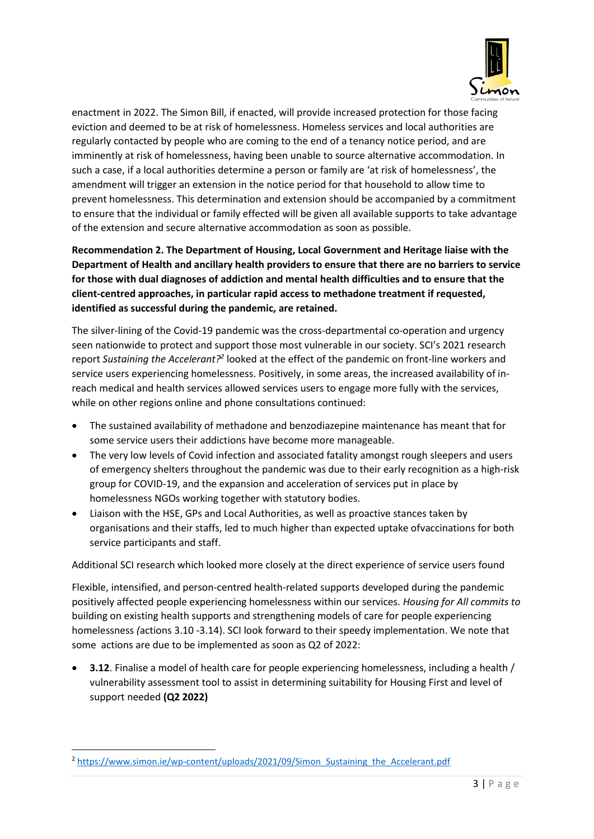

enactment in 2022. The Simon Bill, if enacted, will provide increased protection for those facing eviction and deemed to be at risk of homelessness. Homeless services and local authorities are regularly contacted by people who are coming to the end of a tenancy notice period, and are imminently at risk of homelessness, having been unable to source alternative accommodation. In such a case, if a local authorities determine a person or family are 'at risk of homelessness', the amendment will trigger an extension in the notice period for that household to allow time to prevent homelessness. This determination and extension should be accompanied by a commitment to ensure that the individual or family effected will be given all available supports to take advantage of the extension and secure alternative accommodation as soon as possible.

**Recommendation 2. The Department of Housing, Local Government and Heritage liaise with the Department of Health and ancillary health providers to ensure that there are no barriers to service for those with dual diagnoses of addiction and mental health difficulties and to ensure that the client-centred approaches, in particular rapid access to methadone treatment if requested, identified as successful during the pandemic, are retained.** 

The silver-lining of the Covid-19 pandemic was the cross-departmental co-operation and urgency seen nationwide to protect and support those most vulnerable in our society. SCI's 2021 research report Sustaining the Accelerant?<sup>2</sup> looked at the effect of the pandemic on front-line workers and service users experiencing homelessness. Positively, in some areas, the increased availability of inreach medical and health services allowed services users to engage more fully with the services, while on other regions online and phone consultations continued:

- The sustained availability of methadone and benzodiazepine maintenance has meant that for some service users their addictions have become more manageable.
- The very low levels of Covid infection and associated fatality amongst rough sleepers and users of emergency shelters throughout the pandemic was due to their early recognition as a high-risk group for COVID-19, and the expansion and acceleration of services put in place by homelessness NGOs working together with statutory bodies.
- Liaison with the HSE, GPs and Local Authorities, as well as proactive stances taken by organisations and their staffs, led to much higher than expected uptake ofvaccinations for both service participants and staff.

Additional SCI research which looked more closely at the direct experience of service users found

Flexible, intensified, and person-centred health-related supports developed during the pandemic positively affected people experiencing homelessness within our services. *Housing for All commits to*  building on existing health supports and strengthening models of care for people experiencing homelessness *(*actions 3.10 -3.14). SCI look forward to their speedy implementation. We note that some actions are due to be implemented as soon as Q2 of 2022:

 **3.12**. Finalise a model of health care for people experiencing homelessness, including a health / vulnerability assessment tool to assist in determining suitability for Housing First and level of support needed **(Q2 2022)**

<sup>&</sup>lt;sup>2</sup> [https://www.simon.ie/wp-content/uploads/2021/09/Simon\\_Sustaining\\_the\\_Accelerant.pdf](https://www.simon.ie/wp-content/uploads/2021/09/Simon_Sustaining_the_Accelerant.pdf)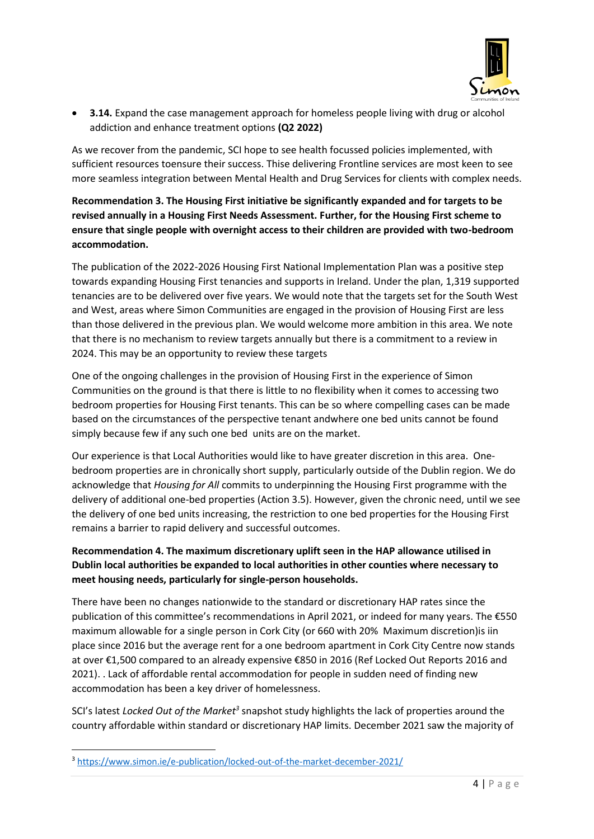

 **3.14.** Expand the case management approach for homeless people living with drug or alcohol addiction and enhance treatment options **(Q2 2022)**

As we recover from the pandemic, SCI hope to see health focussed policies implemented, with sufficient resources toensure their success. Thise delivering Frontline services are most keen to see more seamless integration between Mental Health and Drug Services for clients with complex needs.

**Recommendation 3. The Housing First initiative be significantly expanded and for targets to be revised annually in a Housing First Needs Assessment. Further, for the Housing First scheme to ensure that single people with overnight access to their children are provided with two-bedroom accommodation.** 

The publication of the 2022-2026 Housing First National Implementation Plan was a positive step towards expanding Housing First tenancies and supports in Ireland. Under the plan, 1,319 supported tenancies are to be delivered over five years. We would note that the targets set for the South West and West, areas where Simon Communities are engaged in the provision of Housing First are less than those delivered in the previous plan. We would welcome more ambition in this area. We note that there is no mechanism to review targets annually but there is a commitment to a review in 2024. This may be an opportunity to review these targets

One of the ongoing challenges in the provision of Housing First in the experience of Simon Communities on the ground is that there is little to no flexibility when it comes to accessing two bedroom properties for Housing First tenants. This can be so where compelling cases can be made based on the circumstances of the perspective tenant andwhere one bed units cannot be found simply because few if any such one bed units are on the market.

Our experience is that Local Authorities would like to have greater discretion in this area. Onebedroom properties are in chronically short supply, particularly outside of the Dublin region. We do acknowledge that *Housing for All* commits to underpinning the Housing First programme with the delivery of additional one-bed properties (Action 3.5). However, given the chronic need, until we see the delivery of one bed units increasing, the restriction to one bed properties for the Housing First remains a barrier to rapid delivery and successful outcomes.

## **Recommendation 4. The maximum discretionary uplift seen in the HAP allowance utilised in Dublin local authorities be expanded to local authorities in other counties where necessary to meet housing needs, particularly for single-person households.**

There have been no changes nationwide to the standard or discretionary HAP rates since the publication of this committee's recommendations in April 2021, or indeed for many years. The €550 maximum allowable for a single person in Cork City (or 660 with 20% Maximum discretion)is iin place since 2016 but the average rent for a one bedroom apartment in Cork City Centre now stands at over €1,500 compared to an already expensive €850 in 2016 (Ref Locked Out Reports 2016 and 2021). . Lack of affordable rental accommodation for people in sudden need of finding new accommodation has been a key driver of homelessness.

SCI's latest *Locked Out of the Market<sup>3</sup>* snapshot study highlights the lack of properties around the country affordable within standard or discretionary HAP limits. December 2021 saw the majority of

<sup>3</sup> <https://www.simon.ie/e-publication/locked-out-of-the-market-december-2021/>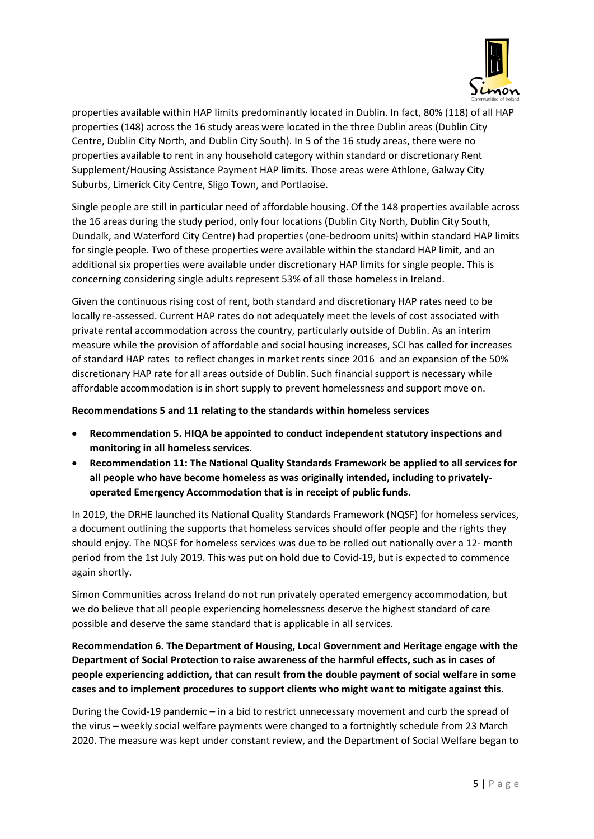

properties available within HAP limits predominantly located in Dublin. In fact, 80% (118) of all HAP properties (148) across the 16 study areas were located in the three Dublin areas (Dublin City Centre, Dublin City North, and Dublin City South). In 5 of the 16 study areas, there were no properties available to rent in any household category within standard or discretionary Rent Supplement/Housing Assistance Payment HAP limits. Those areas were Athlone, Galway City Suburbs, Limerick City Centre, Sligo Town, and Portlaoise.

Single people are still in particular need of affordable housing. Of the 148 properties available across the 16 areas during the study period, only four locations (Dublin City North, Dublin City South, Dundalk, and Waterford City Centre) had properties (one-bedroom units) within standard HAP limits for single people. Two of these properties were available within the standard HAP limit, and an additional six properties were available under discretionary HAP limits for single people. This is concerning considering single adults represent 53% of all those homeless in Ireland.

Given the continuous rising cost of rent, both standard and discretionary HAP rates need to be locally re-assessed. Current HAP rates do not adequately meet the levels of cost associated with private rental accommodation across the country, particularly outside of Dublin. As an interim measure while the provision of affordable and social housing increases, SCI has called for increases of standard HAP rates to reflect changes in market rents since 2016 and an expansion of the 50% discretionary HAP rate for all areas outside of Dublin. Such financial support is necessary while affordable accommodation is in short supply to prevent homelessness and support move on.

#### **Recommendations 5 and 11 relating to the standards within homeless services**

- **Recommendation 5. HIQA be appointed to conduct independent statutory inspections and monitoring in all homeless services**.
- **Recommendation 11: The National Quality Standards Framework be applied to all services for all people who have become homeless as was originally intended, including to privatelyoperated Emergency Accommodation that is in receipt of public funds**.

In 2019, the DRHE launched its National Quality Standards Framework (NQSF) for homeless services, a document outlining the supports that homeless services should offer people and the rights they should enjoy. The NQSF for homeless services was due to be rolled out nationally over a 12- month period from the 1st July 2019. This was put on hold due to Covid-19, but is expected to commence again shortly.

Simon Communities across Ireland do not run privately operated emergency accommodation, but we do believe that all people experiencing homelessness deserve the highest standard of care possible and deserve the same standard that is applicable in all services.

**Recommendation 6. The Department of Housing, Local Government and Heritage engage with the Department of Social Protection to raise awareness of the harmful effects, such as in cases of people experiencing addiction, that can result from the double payment of social welfare in some cases and to implement procedures to support clients who might want to mitigate against this**.

During the Covid-19 pandemic – in a bid to restrict unnecessary movement and curb the spread of the virus – weekly social welfare payments were changed to a fortnightly schedule from 23 March 2020. The measure was kept under constant review, and the Department of Social Welfare began to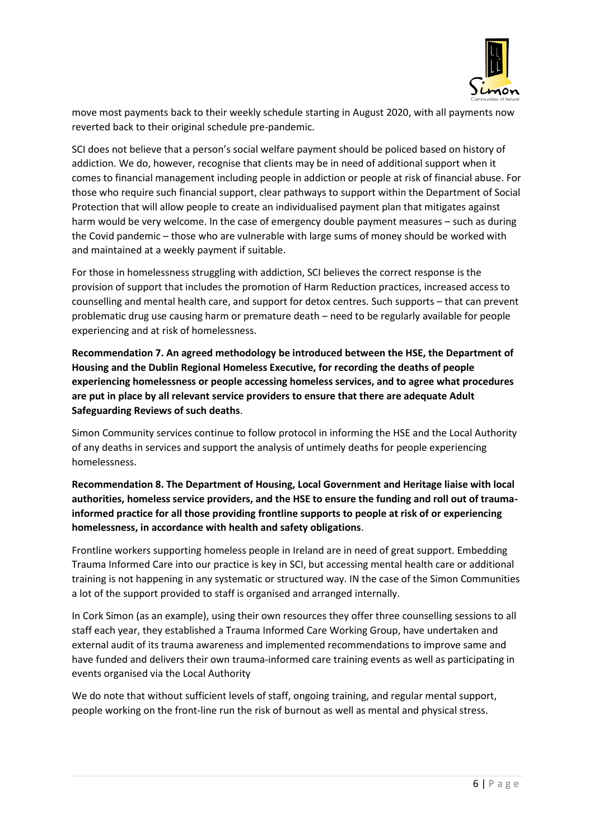

move most payments back to their weekly schedule starting in August 2020, with all payments now reverted back to their original schedule pre-pandemic.

SCI does not believe that a person's social welfare payment should be policed based on history of addiction. We do, however, recognise that clients may be in need of additional support when it comes to financial management including people in addiction or people at risk of financial abuse. For those who require such financial support, clear pathways to support within the Department of Social Protection that will allow people to create an individualised payment plan that mitigates against harm would be very welcome. In the case of emergency double payment measures – such as during the Covid pandemic – those who are vulnerable with large sums of money should be worked with and maintained at a weekly payment if suitable.

For those in homelessness struggling with addiction, SCI believes the correct response is the provision of support that includes the promotion of Harm Reduction practices, increased access to counselling and mental health care, and support for detox centres. Such supports – that can prevent problematic drug use causing harm or premature death – need to be regularly available for people experiencing and at risk of homelessness.

**Recommendation 7. An agreed methodology be introduced between the HSE, the Department of Housing and the Dublin Regional Homeless Executive, for recording the deaths of people experiencing homelessness or people accessing homeless services, and to agree what procedures are put in place by all relevant service providers to ensure that there are adequate Adult Safeguarding Reviews of such deaths**.

Simon Community services continue to follow protocol in informing the HSE and the Local Authority of any deaths in services and support the analysis of untimely deaths for people experiencing homelessness.

**Recommendation 8. The Department of Housing, Local Government and Heritage liaise with local authorities, homeless service providers, and the HSE to ensure the funding and roll out of traumainformed practice for all those providing frontline supports to people at risk of or experiencing homelessness, in accordance with health and safety obligations**.

Frontline workers supporting homeless people in Ireland are in need of great support. Embedding Trauma Informed Care into our practice is key in SCI, but accessing mental health care or additional training is not happening in any systematic or structured way. IN the case of the Simon Communities a lot of the support provided to staff is organised and arranged internally.

In Cork Simon (as an example), using their own resources they offer three counselling sessions to all staff each year, they established a Trauma Informed Care Working Group, have undertaken and external audit of its trauma awareness and implemented recommendations to improve same and have funded and delivers their own trauma-informed care training events as well as participating in events organised via the Local Authority

We do note that without sufficient levels of staff, ongoing training, and regular mental support, people working on the front-line run the risk of burnout as well as mental and physical stress.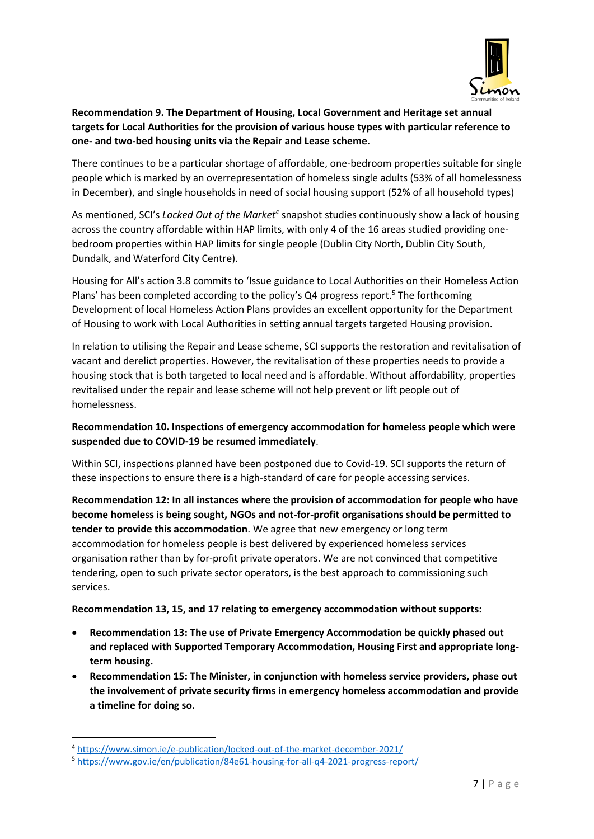

## **Recommendation 9. The Department of Housing, Local Government and Heritage set annual targets for Local Authorities for the provision of various house types with particular reference to one- and two-bed housing units via the Repair and Lease scheme**.

There continues to be a particular shortage of affordable, one-bedroom properties suitable for single people which is marked by an overrepresentation of homeless single adults (53% of all homelessness in December), and single households in need of social housing support (52% of all household types)

As mentioned, SCI's Locked Out of the Market<sup>4</sup> snapshot studies continuously show a lack of housing across the country affordable within HAP limits, with only 4 of the 16 areas studied providing onebedroom properties within HAP limits for single people (Dublin City North, Dublin City South, Dundalk, and Waterford City Centre).

Housing for All's action 3.8 commits to 'Issue guidance to Local Authorities on their Homeless Action Plans' has been completed according to the policy's Q4 progress report.<sup>5</sup> The forthcoming Development of local Homeless Action Plans provides an excellent opportunity for the Department of Housing to work with Local Authorities in setting annual targets targeted Housing provision.

In relation to utilising the Repair and Lease scheme, SCI supports the restoration and revitalisation of vacant and derelict properties. However, the revitalisation of these properties needs to provide a housing stock that is both targeted to local need and is affordable. Without affordability, properties revitalised under the repair and lease scheme will not help prevent or lift people out of homelessness.

## **Recommendation 10. Inspections of emergency accommodation for homeless people which were suspended due to COVID-19 be resumed immediately**.

Within SCI, inspections planned have been postponed due to Covid-19. SCI supports the return of these inspections to ensure there is a high-standard of care for people accessing services.

**Recommendation 12: In all instances where the provision of accommodation for people who have become homeless is being sought, NGOs and not-for-profit organisations should be permitted to tender to provide this accommodation**. We agree that new emergency or long term accommodation for homeless people is best delivered by experienced homeless services organisation rather than by for-profit private operators. We are not convinced that competitive tendering, open to such private sector operators, is the best approach to commissioning such services.

**Recommendation 13, 15, and 17 relating to emergency accommodation without supports:** 

- **Recommendation 13: The use of Private Emergency Accommodation be quickly phased out and replaced with Supported Temporary Accommodation, Housing First and appropriate longterm housing.**
- **Recommendation 15: The Minister, in conjunction with homeless service providers, phase out the involvement of private security firms in emergency homeless accommodation and provide a timeline for doing so.**

1

<sup>4</sup> <https://www.simon.ie/e-publication/locked-out-of-the-market-december-2021/>

<sup>5</sup> <https://www.gov.ie/en/publication/84e61-housing-for-all-q4-2021-progress-report/>